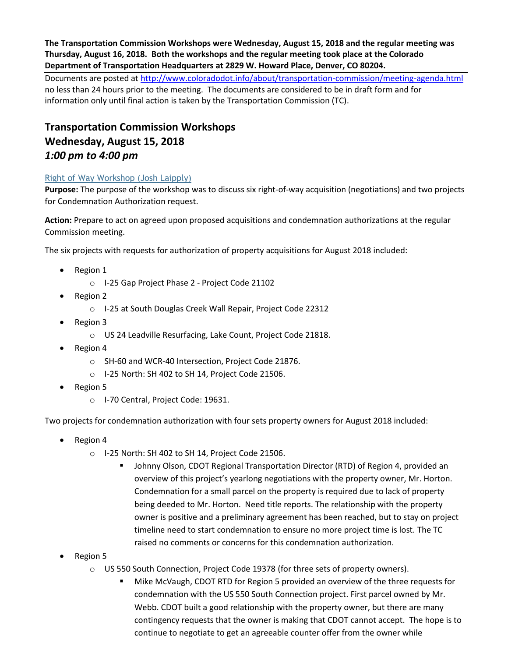**The Transportation Commission Workshops were Wednesday, August 15, 2018 and the regular meeting was Thursday, August 16, 2018. Both the workshops and the regular meeting took place at the Colorado Department of Transportation Headquarters at 2829 W. Howard Place, Denver, CO 80204.**

Documents are posted at http://www.coloradodot.info/about/transportation-commission/meeting-agenda.html no less than 24 hours prior to the meeting. The documents are considered to be in draft form and for information only until final action is taken by the Transportation Commission (TC).

# **Transportation Commission Workshops Wednesday, August 15, 2018** *1:00 pm to 4:00 pm*

## [Right of Way Workshop \(Josh Laipply\)](https://www.codot.gov/about/transportation-commission/documents/2018-agendas-and-supporting-documents/august-2018/tc-row-2018-08-final.pdf/at_download/file)

**Purpose:** The purpose of the workshop was to discuss six right-of-way acquisition (negotiations) and two projects for Condemnation Authorization request.

**Action:** Prepare to act on agreed upon proposed acquisitions and condemnation authorizations at the regular Commission meeting.

The six projects with requests for authorization of property acquisitions for August 2018 included:

- Region 1
	- o I‐25 Gap Project Phase 2 ‐ Project Code 21102
- Region 2
	- o I‐25 at South Douglas Creek Wall Repair, Project Code 22312
- Region 3
	- o US 24 Leadville Resurfacing, Lake Count, Project Code 21818.
- Region 4
	- o SH‐60 and WCR‐40 Intersection, Project Code 21876.
	- o I‐25 North: SH 402 to SH 14, Project Code 21506.
- Region 5
	- o I-70 Central, Project Code: 19631.

Two projects for condemnation authorization with four sets property owners for August 2018 included:

- Region 4
	- o I‐25 North: SH 402 to SH 14, Project Code 21506.
		- Johnny Olson, CDOT Regional Transportation Director (RTD) of Region 4, provided an overview of this project's yearlong negotiations with the property owner, Mr. Horton. Condemnation for a small parcel on the property is required due to lack of property being deeded to Mr. Horton. Need title reports. The relationship with the property owner is positive and a preliminary agreement has been reached, but to stay on project timeline need to start condemnation to ensure no more project time is lost. The TC raised no comments or concerns for this condemnation authorization.
- Region 5
	- o US 550 South Connection, Project Code 19378 (for three sets of property owners).
		- Mike McVaugh, CDOT RTD for Region 5 provided an overview of the three requests for condemnation with the US 550 South Connection project. First parcel owned by Mr. Webb. CDOT built a good relationship with the property owner, but there are many contingency requests that the owner is making that CDOT cannot accept. The hope is to continue to negotiate to get an agreeable counter offer from the owner while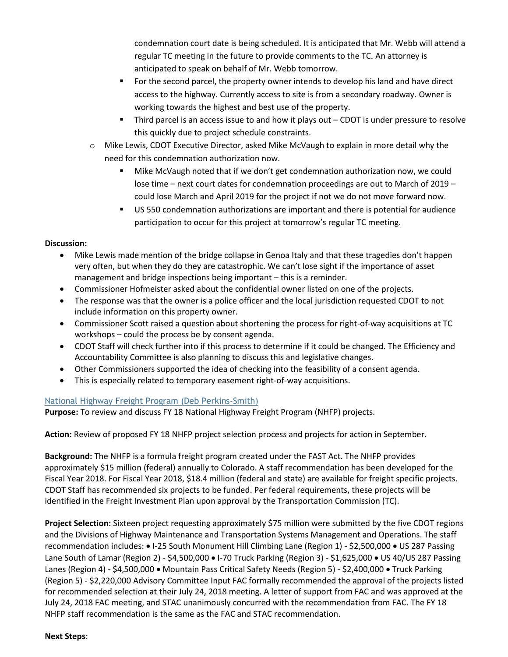condemnation court date is being scheduled. It is anticipated that Mr. Webb will attend a regular TC meeting in the future to provide comments to the TC. An attorney is anticipated to speak on behalf of Mr. Webb tomorrow.

- For the second parcel, the property owner intends to develop his land and have direct access to the highway. Currently access to site is from a secondary roadway. Owner is working towards the highest and best use of the property.
- Third parcel is an access issue to and how it plays out CDOT is under pressure to resolve this quickly due to project schedule constraints.
- o Mike Lewis, CDOT Executive Director, asked Mike McVaugh to explain in more detail why the need for this condemnation authorization now.
	- Mike McVaugh noted that if we don't get condemnation authorization now, we could lose time – next court dates for condemnation proceedings are out to March of 2019 – could lose March and April 2019 for the project if not we do not move forward now.
	- US 550 condemnation authorizations are important and there is potential for audience participation to occur for this project at tomorrow's regular TC meeting.

### **Discussion:**

- Mike Lewis made mention of the bridge collapse in Genoa Italy and that these tragedies don't happen very often, but when they do they are catastrophic. We can't lose sight if the importance of asset management and bridge inspections being important – this is a reminder.
- Commissioner Hofmeister asked about the confidential owner listed on one of the projects.
- The response was that the owner is a police officer and the local jurisdiction requested CDOT to not include information on this property owner.
- Commissioner Scott raised a question about shortening the process for right-of-way acquisitions at TC workshops – could the process be by consent agenda.
- CDOT Staff will check further into if this process to determine if it could be changed. The Efficiency and Accountability Committee is also planning to discuss this and legislative changes.
- Other Commissioners supported the idea of checking into the feasibility of a consent agenda.
- [This is especially related to temporary easement right-of-way acquisitions.](https://www.codot.gov/about/transportation-commission/documents/2018-agendas-and-supporting-documents/august-2018/1-national-highway-freight-program.pdf)

### [National Highway Freight Program \(Deb Perkins-Smith\)](https://www.codot.gov/about/transportation-commission/documents/2018-agendas-and-supporting-documents/august-2018/1-national-highway-freight-program.pdf)

**Purpose:** To review and discuss FY 18 National Highway Freight Program (NHFP) projects.

**Action:** Review of proposed FY 18 NHFP project selection process and projects for action in September.

**Background:** The NHFP is a formula freight program created under the FAST Act. The NHFP provides approximately \$15 million (federal) annually to Colorado. A staff recommendation has been developed for the Fiscal Year 2018. For Fiscal Year 2018, \$18.4 million (federal and state) are available for freight specific projects. CDOT Staff has recommended six projects to be funded. Per federal requirements, these projects will be identified in the Freight Investment Plan upon approval by the Transportation Commission (TC).

**Project Selection:** Sixteen project requesting approximately \$75 million were submitted by the five CDOT regions and the Divisions of Highway Maintenance and Transportation Systems Management and Operations. The staff recommendation includes: • I-25 South Monument Hill Climbing Lane (Region 1) - \$2,500,000 • US 287 Passing Lane South of Lamar (Region 2) - \$4,500,000 • I-70 Truck Parking (Region 3) - \$1,625,000 • US 40/US 287 Passing Lanes (Region 4) - \$4,500,000 · Mountain Pass Critical Safety Needs (Region 5) - \$2,400,000 · Truck Parking (Region 5) - \$2,220,000 Advisory Committee Input FAC formally recommended the approval of the projects listed for recommended selection at their July 24, 2018 meeting. A letter of support from FAC and was approved at the July 24, 2018 FAC meeting, and STAC unanimously concurred with the recommendation from FAC. The FY 18 NHFP staff recommendation is the same as the FAC and STAC recommendation.

#### **Next Steps**: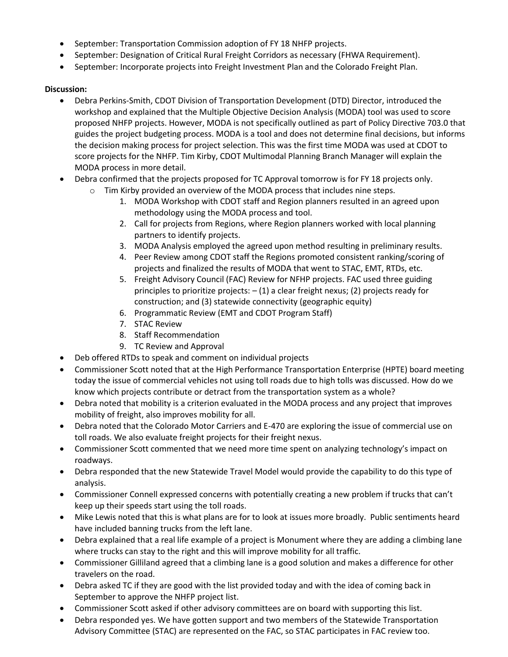- September: Transportation Commission adoption of FY 18 NHFP projects.
- September: Designation of Critical Rural Freight Corridors as necessary (FHWA Requirement).
- September: Incorporate projects into Freight Investment Plan and the Colorado Freight Plan.

- Debra Perkins-Smith, CDOT Division of Transportation Development (DTD) Director, introduced the workshop and explained that the Multiple Objective Decision Analysis (MODA) tool was used to score proposed NHFP projects. However, MODA is not specifically outlined as part of Policy Directive 703.0 that guides the project budgeting process. MODA is a tool and does not determine final decisions, but informs the decision making process for project selection. This was the first time MODA was used at CDOT to score projects for the NHFP. Tim Kirby, CDOT Multimodal Planning Branch Manager will explain the MODA process in more detail.
- Debra confirmed that the projects proposed for TC Approval tomorrow is for FY 18 projects only.
	- o Tim Kirby provided an overview of the MODA process that includes nine steps.
		- 1. MODA Workshop with CDOT staff and Region planners resulted in an agreed upon methodology using the MODA process and tool.
		- 2. Call for projects from Regions, where Region planners worked with local planning partners to identify projects.
		- 3. MODA Analysis employed the agreed upon method resulting in preliminary results.
		- 4. Peer Review among CDOT staff the Regions promoted consistent ranking/scoring of projects and finalized the results of MODA that went to STAC, EMT, RTDs, etc.
		- 5. Freight Advisory Council (FAC) Review for NFHP projects. FAC used three guiding principles to prioritize projects:  $- (1)$  a clear freight nexus; (2) projects ready for construction; and (3) statewide connectivity (geographic equity)
		- 6. Programmatic Review (EMT and CDOT Program Staff)
		- 7. STAC Review
		- 8. Staff Recommendation
		- 9. TC Review and Approval
- Deb offered RTDs to speak and comment on individual projects
- Commissioner Scott noted that at the High Performance Transportation Enterprise (HPTE) board meeting today the issue of commercial vehicles not using toll roads due to high tolls was discussed. How do we know which projects contribute or detract from the transportation system as a whole?
- Debra noted that mobility is a criterion evaluated in the MODA process and any project that improves mobility of freight, also improves mobility for all.
- Debra noted that the Colorado Motor Carriers and E-470 are exploring the issue of commercial use on toll roads. We also evaluate freight projects for their freight nexus.
- Commissioner Scott commented that we need more time spent on analyzing technology's impact on roadways.
- Debra responded that the new Statewide Travel Model would provide the capability to do this type of analysis.
- Commissioner Connell expressed concerns with potentially creating a new problem if trucks that can't keep up their speeds start using the toll roads.
- Mike Lewis noted that this is what plans are for to look at issues more broadly. Public sentiments heard have included banning trucks from the left lane.
- Debra explained that a real life example of a project is Monument where they are adding a climbing lane where trucks can stay to the right and this will improve mobility for all traffic.
- Commissioner Gilliland agreed that a climbing lane is a good solution and makes a difference for other travelers on the road.
- Debra asked TC if they are good with the list provided today and with the idea of coming back in September to approve the NHFP project list.
- Commissioner Scott asked if other advisory committees are on board with supporting this list.
- Debra responded yes. We have gotten support and two members of the Statewide Transportation Advisory Committee (STAC) are represented on the FAC, so STAC participates in FAC review too.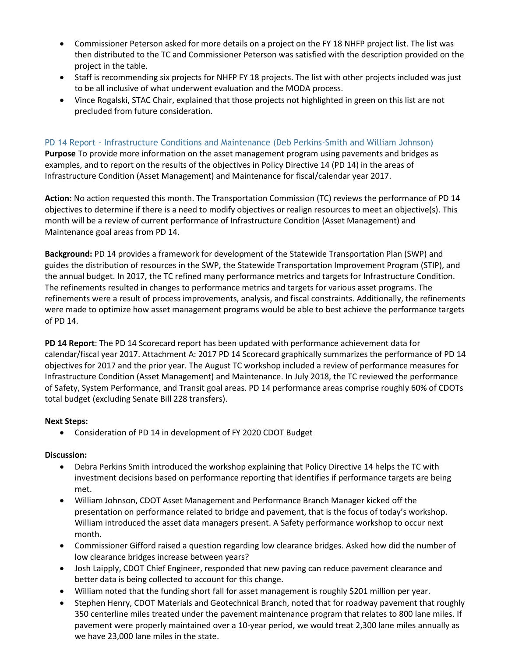- Commissioner Peterson asked for more details on a project on the FY 18 NHFP project list. The list was then distributed to the TC and Commissioner Peterson was satisfied with the description provided on the project in the table.
- Staff is recommending six projects for NHFP FY 18 projects. The list with other projects included was just to be all inclusive of what underwent evaluation and the MODA process.
- Vince Rogalski, STAC Chair, explained that those projects not highlighted in green on this list are not precluded from future consideration.

### PD 14 Report - [Infrastructure Conditions and Maintenance \(Deb Perkins-Smith and William Johnson\)](https://www.codot.gov/about/transportation-commission/documents/2018-agendas-and-supporting-documents/august-2018/2-pd-14-condition-and-maintenance.pdf)

**Purpose** To provide more information on the asset management program using pavements and bridges as examples, and to report on the results of the objectives in Policy Directive 14 (PD 14) in the areas of Infrastructure Condition (Asset Management) and Maintenance for fiscal/calendar year 2017.

**Action:** No action requested this month. The Transportation Commission (TC) reviews the performance of PD 14 objectives to determine if there is a need to modify objectives or realign resources to meet an objective(s). This month will be a review of current performance of Infrastructure Condition (Asset Management) and Maintenance goal areas from PD 14.

**Background:** PD 14 provides a framework for development of the Statewide Transportation Plan (SWP) and guides the distribution of resources in the SWP, the Statewide Transportation Improvement Program (STIP), and the annual budget. In 2017, the TC refined many performance metrics and targets for Infrastructure Condition. The refinements resulted in changes to performance metrics and targets for various asset programs. The refinements were a result of process improvements, analysis, and fiscal constraints. Additionally, the refinements were made to optimize how asset management programs would be able to best achieve the performance targets of PD 14.

**PD 14 Report**: The PD 14 Scorecard report has been updated with performance achievement data for calendar/fiscal year 2017. Attachment A: 2017 PD 14 Scorecard graphically summarizes the performance of PD 14 objectives for 2017 and the prior year. The August TC workshop included a review of performance measures for Infrastructure Condition (Asset Management) and Maintenance. In July 2018, the TC reviewed the performance of Safety, System Performance, and Transit goal areas. PD 14 performance areas comprise roughly 60% of CDOTs total budget (excluding Senate Bill 228 transfers).

### **Next Steps:**

Consideration of PD 14 in development of FY 2020 CDOT Budget

- Debra Perkins Smith introduced the workshop explaining that Policy Directive 14 helps the TC with investment decisions based on performance reporting that identifies if performance targets are being met.
- William Johnson, CDOT Asset Management and Performance Branch Manager kicked off the presentation on performance related to bridge and pavement, that is the focus of today's workshop. William introduced the asset data managers present. A Safety performance workshop to occur next month.
- Commissioner Gifford raised a question regarding low clearance bridges. Asked how did the number of low clearance bridges increase between years?
- Josh Laipply, CDOT Chief Engineer, responded that new paving can reduce pavement clearance and better data is being collected to account for this change.
- William noted that the funding short fall for asset management is roughly \$201 million per year.
- Stephen Henry, CDOT Materials and Geotechnical Branch, noted that for roadway pavement that roughly 350 centerline miles treated under the pavement maintenance program that relates to 800 lane miles. If pavement were properly maintained over a 10-year period, we would treat 2,300 lane miles annually as we have 23,000 lane miles in the state.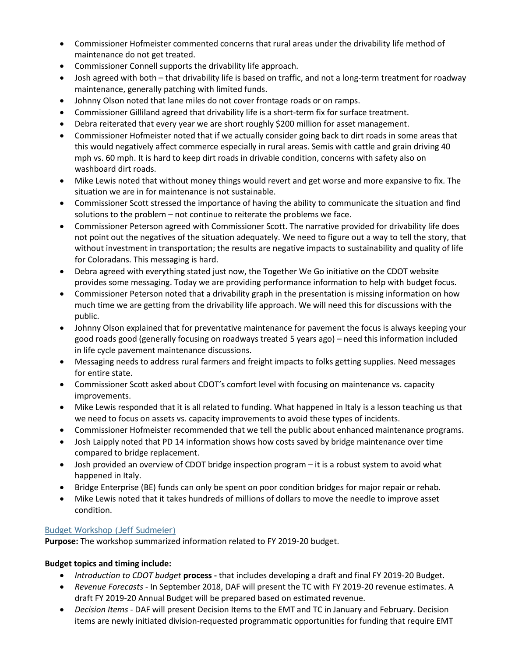- Commissioner Hofmeister commented concerns that rural areas under the drivability life method of maintenance do not get treated.
- Commissioner Connell supports the drivability life approach.
- Josh agreed with both that drivability life is based on traffic, and not a long-term treatment for roadway maintenance, generally patching with limited funds.
- Johnny Olson noted that lane miles do not cover frontage roads or on ramps.
- Commissioner Gilliland agreed that drivability life is a short-term fix for surface treatment.
- Debra reiterated that every year we are short roughly \$200 million for asset management.
- Commissioner Hofmeister noted that if we actually consider going back to dirt roads in some areas that this would negatively affect commerce especially in rural areas. Semis with cattle and grain driving 40 mph vs. 60 mph. It is hard to keep dirt roads in drivable condition, concerns with safety also on washboard dirt roads.
- Mike Lewis noted that without money things would revert and get worse and more expansive to fix. The situation we are in for maintenance is not sustainable.
- Commissioner Scott stressed the importance of having the ability to communicate the situation and find solutions to the problem – not continue to reiterate the problems we face.
- Commissioner Peterson agreed with Commissioner Scott. The narrative provided for drivability life does not point out the negatives of the situation adequately. We need to figure out a way to tell the story, that without investment in transportation; the results are negative impacts to sustainability and quality of life for Coloradans. This messaging is hard.
- Debra agreed with everything stated just now, the Together We Go initiative on the CDOT website provides some messaging. Today we are providing performance information to help with budget focus.
- Commissioner Peterson noted that a drivability graph in the presentation is missing information on how much time we are getting from the drivability life approach. We will need this for discussions with the public.
- Johnny Olson explained that for preventative maintenance for pavement the focus is always keeping your good roads good (generally focusing on roadways treated 5 years ago) – need this information included in life cycle pavement maintenance discussions.
- Messaging needs to address rural farmers and freight impacts to folks getting supplies. Need messages for entire state.
- Commissioner Scott asked about CDOT's comfort level with focusing on maintenance vs. capacity improvements.
- Mike Lewis responded that it is all related to funding. What happened in Italy is a lesson teaching us that we need to focus on assets vs. capacity improvements to avoid these types of incidents.
- Commissioner Hofmeister recommended that we tell the public about enhanced maintenance programs.
- Josh Laipply noted that PD 14 information shows how costs saved by bridge maintenance over time compared to bridge replacement.
- Josh provided an overview of CDOT bridge inspection program it is a robust system to avoid what happened in Italy.
- Bridge Enterprise (BE) funds can only be spent on poor condition bridges for major repair or rehab.
- Mike Lewis noted that it takes hundreds of millions of dollars to move the needle to improve asset condition.

## [Budget Workshop \(Jeff Sudmeier\)](https://www.codot.gov/about/transportation-commission/documents/2018-agendas-and-supporting-documents/august-2018/3-budget-workshop.pdf)

**Purpose:** The workshop summarized information related to FY 2019-20 budget.

### **Budget topics and timing include:**

- *Introduction to CDOT budget* **process -** that includes developing a draft and final FY 2019-20 Budget.
- *Revenue Forecasts* In September 2018, DAF will present the TC with FY 2019-20 revenue estimates. A draft FY 2019-20 Annual Budget will be prepared based on estimated revenue.
- *Decision Items* DAF will present Decision Items to the EMT and TC in January and February. Decision items are newly initiated division-requested programmatic opportunities for funding that require EMT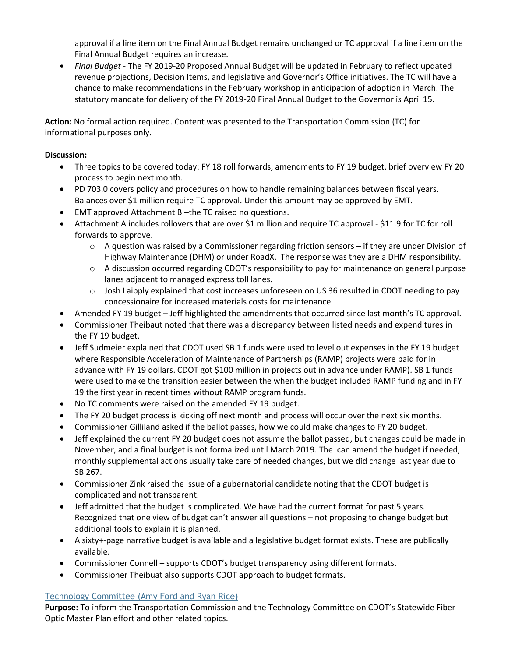approval if a line item on the Final Annual Budget remains unchanged or TC approval if a line item on the Final Annual Budget requires an increase.

 *Final Budget* - The FY 2019-20 Proposed Annual Budget will be updated in February to reflect updated revenue projections, Decision Items, and legislative and Governor's Office initiatives. The TC will have a chance to make recommendations in the February workshop in anticipation of adoption in March. The statutory mandate for delivery of the FY 2019-20 Final Annual Budget to the Governor is April 15.

**Action:** No formal action required. Content was presented to the Transportation Commission (TC) for informational purposes only.

### **Discussion:**

- Three topics to be covered today: FY 18 roll forwards, amendments to FY 19 budget, brief overview FY 20 process to begin next month.
- PD 703.0 covers policy and procedures on how to handle remaining balances between fiscal years. Balances over \$1 million require TC approval. Under this amount may be approved by EMT.
- EMT approved Attachment B –the TC raised no questions.
- Attachment A includes rollovers that are over \$1 million and require TC approval \$11.9 for TC for roll forwards to approve.
	- o A question was raised by a Commissioner regarding friction sensors if they are under Division of Highway Maintenance (DHM) or under RoadX. The response was they are a DHM responsibility.
	- $\circ$  A discussion occurred regarding CDOT's responsibility to pay for maintenance on general purpose lanes adjacent to managed express toll lanes.
	- $\circ$  Josh Laipply explained that cost increases unforeseen on US 36 resulted in CDOT needing to pay concessionaire for increased materials costs for maintenance.
- Amended FY 19 budget Jeff highlighted the amendments that occurred since last month's TC approval.
- Commissioner Theibaut noted that there was a discrepancy between listed needs and expenditures in the FY 19 budget.
- Jeff Sudmeier explained that CDOT used SB 1 funds were used to level out expenses in the FY 19 budget where Responsible Acceleration of Maintenance of Partnerships (RAMP) projects were paid for in advance with FY 19 dollars. CDOT got \$100 million in projects out in advance under RAMP). SB 1 funds were used to make the transition easier between the when the budget included RAMP funding and in FY 19 the first year in recent times without RAMP program funds.
- No TC comments were raised on the amended FY 19 budget.
- The FY 20 budget process is kicking off next month and process will occur over the next six months.
- Commissioner Gilliland asked if the ballot passes, how we could make changes to FY 20 budget.
- Jeff explained the current FY 20 budget does not assume the ballot passed, but changes could be made in November, and a final budget is not formalized until March 2019. The can amend the budget if needed, monthly supplemental actions usually take care of needed changes, but we did change last year due to SB 267.
- Commissioner Zink raised the issue of a gubernatorial candidate noting that the CDOT budget is complicated and not transparent.
- Jeff admitted that the budget is complicated. We have had the current format for past 5 years. Recognized that one view of budget can't answer all questions – not proposing to change budget but additional tools to explain it is planned.
- A sixty+-page narrative budget is available and a legislative budget format exists. These are publically available.
- Commissioner Connell supports CDOT's budget transparency using different formats.
- Commissioner Theibuat also supports CDOT approach to budget formats.

## [Technology Committee \(Amy Ford and Ryan Rice\)](https://www.codot.gov/about/transportation-commission/documents/2018-agendas-and-supporting-documents/august-2018/4-tech-committee.pdf)

**Purpose:** To inform the Transportation Commission and the Technology Committee on CDOT's Statewide Fiber Optic Master Plan effort and other related topics.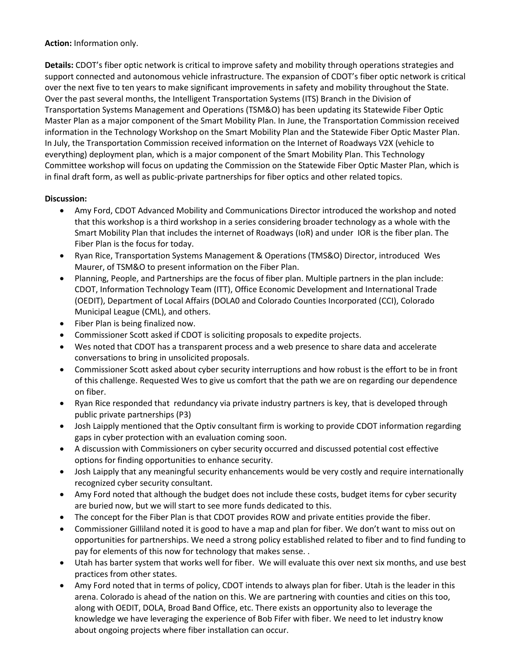**Action:** Information only.

**Details:** CDOT's fiber optic network is critical to improve safety and mobility through operations strategies and support connected and autonomous vehicle infrastructure. The expansion of CDOT's fiber optic network is critical over the next five to ten years to make significant improvements in safety and mobility throughout the State. Over the past several months, the Intelligent Transportation Systems (ITS) Branch in the Division of Transportation Systems Management and Operations (TSM&O) has been updating its Statewide Fiber Optic Master Plan as a major component of the Smart Mobility Plan. In June, the Transportation Commission received information in the Technology Workshop on the Smart Mobility Plan and the Statewide Fiber Optic Master Plan. In July, the Transportation Commission received information on the Internet of Roadways V2X (vehicle to everything) deployment plan, which is a major component of the Smart Mobility Plan. This Technology Committee workshop will focus on updating the Commission on the Statewide Fiber Optic Master Plan, which is in final draft form, as well as public-private partnerships for fiber optics and other related topics.

- Amy Ford, CDOT Advanced Mobility and Communications Director introduced the workshop and noted that this workshop is a third workshop in a series considering broader technology as a whole with the Smart Mobility Plan that includes the internet of Roadways (IoR) and under IOR is the fiber plan. The Fiber Plan is the focus for today.
- Ryan Rice, Transportation Systems Management & Operations (TMS&O) Director, introduced Wes Maurer, of TSM&O to present information on the Fiber Plan.
- Planning, People, and Partnerships are the focus of fiber plan. Multiple partners in the plan include: CDOT, Information Technology Team (ITT), Office Economic Development and International Trade (OEDIT), Department of Local Affairs (DOLA0 and Colorado Counties Incorporated (CCI), Colorado Municipal League (CML), and others.
- Fiber Plan is being finalized now.
- Commissioner Scott asked if CDOT is soliciting proposals to expedite projects.
- Wes noted that CDOT has a transparent process and a web presence to share data and accelerate conversations to bring in unsolicited proposals.
- Commissioner Scott asked about cyber security interruptions and how robust is the effort to be in front of this challenge. Requested Wes to give us comfort that the path we are on regarding our dependence on fiber.
- Ryan Rice responded that redundancy via private industry partners is key, that is developed through public private partnerships (P3)
- Josh Laipply mentioned that the Optiv consultant firm is working to provide CDOT information regarding gaps in cyber protection with an evaluation coming soon.
- A discussion with Commissioners on cyber security occurred and discussed potential cost effective options for finding opportunities to enhance security.
- Josh Laipply that any meaningful security enhancements would be very costly and require internationally recognized cyber security consultant.
- Amy Ford noted that although the budget does not include these costs, budget items for cyber security are buried now, but we will start to see more funds dedicated to this.
- The concept for the Fiber Plan is that CDOT provides ROW and private entities provide the fiber.
- Commissioner Gilliland noted it is good to have a map and plan for fiber. We don't want to miss out on opportunities for partnerships. We need a strong policy established related to fiber and to find funding to pay for elements of this now for technology that makes sense. .
- Utah has barter system that works well for fiber. We will evaluate this over next six months, and use best practices from other states.
- Amy Ford noted that in terms of policy, CDOT intends to always plan for fiber. Utah is the leader in this arena. Colorado is ahead of the nation on this. We are partnering with counties and cities on this too, along with OEDIT, DOLA, Broad Band Office, etc. There exists an opportunity also to leverage the knowledge we have leveraging the experience of Bob Fifer with fiber. We need to let industry know about ongoing projects where fiber installation can occur.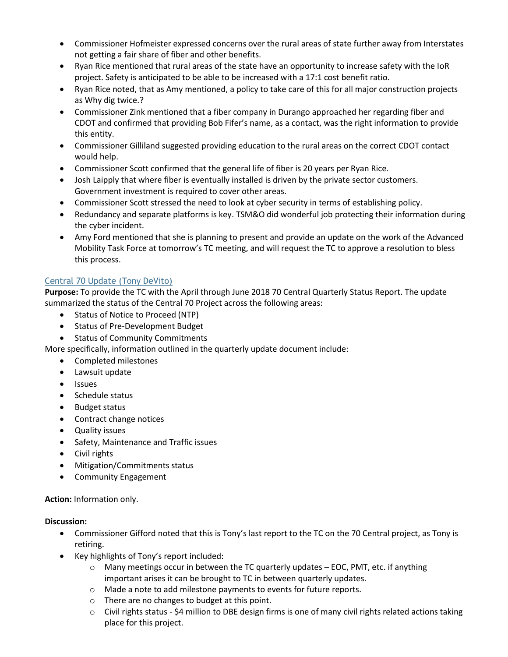- Commissioner Hofmeister expressed concerns over the rural areas of state further away from Interstates not getting a fair share of fiber and other benefits.
- Ryan Rice mentioned that rural areas of the state have an opportunity to increase safety with the IoR project. Safety is anticipated to be able to be increased with a 17:1 cost benefit ratio.
- Ryan Rice noted, that as Amy mentioned, a policy to take care of this for all major construction projects as Why dig twice.?
- Commissioner Zink mentioned that a fiber company in Durango approached her regarding fiber and CDOT and confirmed that providing Bob Fifer's name, as a contact, was the right information to provide this entity.
- Commissioner Gilliland suggested providing education to the rural areas on the correct CDOT contact would help.
- Commissioner Scott confirmed that the general life of fiber is 20 years per Ryan Rice.
- Josh Laipply that where fiber is eventually installed is driven by the private sector customers. Government investment is required to cover other areas.
- Commissioner Scott stressed the need to look at cyber security in terms of establishing policy.
- Redundancy and separate platforms is key. TSM&O did wonderful job protecting their information during the cyber incident.
- Amy Ford mentioned that she is planning to present and provide an update on the work of the Advanced Mobility Task Force at tomorrow's TC meeting, and will request the TC to approve a resolution to bless this process.

## [Central 70 Update \(Tony DeVito\)](https://www.codot.gov/about/transportation-commission/documents/2018-agendas-and-supporting-documents/august-2018/5-central-70-update.pdf)

**Purpose:** To provide the TC with the April through June 2018 70 Central Quarterly Status Report. The update summarized the status of the Central 70 Project across the following areas:

- Status of Notice to Proceed (NTP)
- Status of Pre-Development Budget
- Status of Community Commitments

More specifically, information outlined in the quarterly update document include:

- Completed milestones
- Lawsuit update
- **•** Issues
- Schedule status
- Budget status
- Contract change notices
- Quality issues
- Safety, Maintenance and Traffic issues
- Civil rights
- Mitigation/Commitments status
- Community Engagement

**Action:** Information only.

- Commissioner Gifford noted that this is Tony's last report to the TC on the 70 Central project, as Tony is retiring.
- Key highlights of Tony's report included:
	- $\circ$  Many meetings occur in between the TC quarterly updates EOC, PMT, etc. if anything important arises it can be brought to TC in between quarterly updates.
	- o Made a note to add milestone payments to events for future reports.
	- o There are no changes to budget at this point.
	- o Civil rights status \$4 million to DBE design firms is one of many civil rights related actions taking place for this project.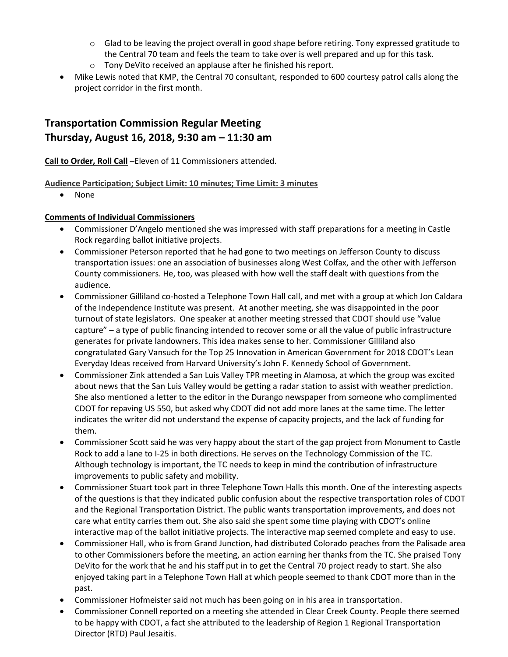- $\circ$  Glad to be leaving the project overall in good shape before retiring. Tony expressed gratitude to the Central 70 team and feels the team to take over is well prepared and up for this task.
- o Tony DeVito received an applause after he finished his report.
- Mike Lewis noted that KMP, the Central 70 consultant, responded to 600 courtesy patrol calls along the project corridor in the first month.

# **Transportation Commission Regular Meeting Thursday, August 16, 2018, 9:30 am – 11:30 am**

**Call to Order, Roll Call** –Eleven of 11 Commissioners attended.

## **Audience Participation; Subject Limit: 10 minutes; Time Limit: 3 minutes**

• None

## **Comments of Individual Commissioners**

- Commissioner D'Angelo mentioned she was impressed with staff preparations for a meeting in Castle Rock regarding ballot initiative projects.
- Commissioner Peterson reported that he had gone to two meetings on Jefferson County to discuss transportation issues: one an association of businesses along West Colfax, and the other with Jefferson County commissioners. He, too, was pleased with how well the staff dealt with questions from the audience.
- Commissioner Gilliland co-hosted a Telephone Town Hall call, and met with a group at which Jon Caldara of the Independence Institute was present. At another meeting, she was disappointed in the poor turnout of state legislators. One speaker at another meeting stressed that CDOT should use "value capture" – a type of public financing intended to recover some or all the value of public infrastructure generates for private landowners. This idea makes sense to her. Commissioner Gilliland also congratulated Gary Vansuch for the Top 25 Innovation in American Government for 2018 CDOT's Lean Everyday Ideas received from Harvard University's John F. Kennedy School of Government.
- Commissioner Zink attended a San Luis Valley TPR meeting in Alamosa, at which the group was excited about news that the San Luis Valley would be getting a radar station to assist with weather prediction. She also mentioned a letter to the editor in the Durango newspaper from someone who complimented CDOT for repaving US 550, but asked why CDOT did not add more lanes at the same time. The letter indicates the writer did not understand the expense of capacity projects, and the lack of funding for them.
- Commissioner Scott said he was very happy about the start of the gap project from Monument to Castle Rock to add a lane to I-25 in both directions. He serves on the Technology Commission of the TC. Although technology is important, the TC needs to keep in mind the contribution of infrastructure improvements to public safety and mobility.
- Commissioner Stuart took part in three Telephone Town Halls this month. One of the interesting aspects of the questions is that they indicated public confusion about the respective transportation roles of CDOT and the Regional Transportation District. The public wants transportation improvements, and does not care what entity carries them out. She also said she spent some time playing with CDOT's online interactive map of the ballot initiative projects. The interactive map seemed complete and easy to use.
- Commissioner Hall, who is from Grand Junction, had distributed Colorado peaches from the Palisade area to other Commissioners before the meeting, an action earning her thanks from the TC. She praised Tony DeVito for the work that he and his staff put in to get the Central 70 project ready to start. She also enjoyed taking part in a Telephone Town Hall at which people seemed to thank CDOT more than in the past.
- Commissioner Hofmeister said not much has been going on in his area in transportation.
- Commissioner Connell reported on a meeting she attended in Clear Creek County. People there seemed to be happy with CDOT, a fact she attributed to the leadership of Region 1 Regional Transportation Director (RTD) Paul Jesaitis.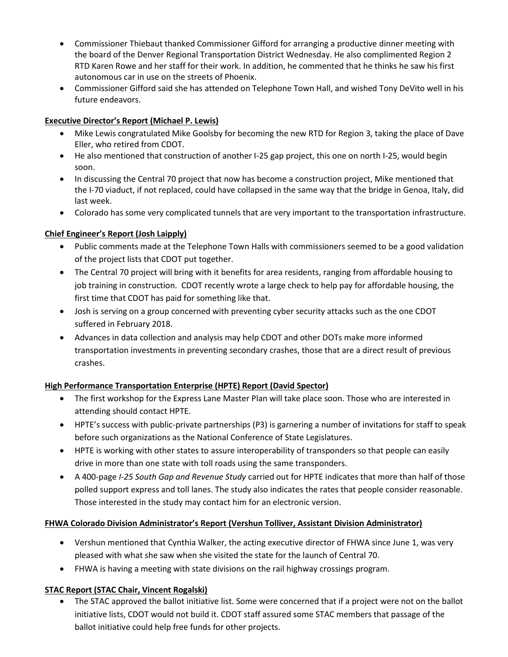- Commissioner Thiebaut thanked Commissioner Gifford for arranging a productive dinner meeting with the board of the Denver Regional Transportation District Wednesday. He also complimented Region 2 RTD Karen Rowe and her staff for their work. In addition, he commented that he thinks he saw his first autonomous car in use on the streets of Phoenix.
- Commissioner Gifford said she has attended on Telephone Town Hall, and wished Tony DeVito well in his future endeavors.

## **Executive Director's Report (Michael P. Lewis)**

- Mike Lewis congratulated Mike Goolsby for becoming the new RTD for Region 3, taking the place of Dave Eller, who retired from CDOT.
- He also mentioned that construction of another I-25 gap project, this one on north I-25, would begin soon.
- In discussing the Central 70 project that now has become a construction project, Mike mentioned that the I-70 viaduct, if not replaced, could have collapsed in the same way that the bridge in Genoa, Italy, did last week.
- Colorado has some very complicated tunnels that are very important to the transportation infrastructure.

## **Chief Engineer's Report (Josh Laipply)**

- Public comments made at the Telephone Town Halls with commissioners seemed to be a good validation of the project lists that CDOT put together.
- The Central 70 project will bring with it benefits for area residents, ranging from affordable housing to job training in construction. CDOT recently wrote a large check to help pay for affordable housing, the first time that CDOT has paid for something like that.
- Josh is serving on a group concerned with preventing cyber security attacks such as the one CDOT suffered in February 2018.
- Advances in data collection and analysis may help CDOT and other DOTs make more informed transportation investments in preventing secondary crashes, those that are a direct result of previous crashes.

### **High Performance Transportation Enterprise (HPTE) Report (David Spector)**

- The first workshop for the Express Lane Master Plan will take place soon. Those who are interested in attending should contact HPTE.
- HPTE's success with public-private partnerships (P3) is garnering a number of invitations for staff to speak before such organizations as the National Conference of State Legislatures.
- HPTE is working with other states to assure interoperability of transponders so that people can easily drive in more than one state with toll roads using the same transponders.
- A 400-page *I-25 South Gap and Revenue Study* carried out for HPTE indicates that more than half of those polled support express and toll lanes. The study also indicates the rates that people consider reasonable. Those interested in the study may contact him for an electronic version.

### **FHWA Colorado Division Administrator's Report (Vershun Tolliver, Assistant Division Administrator)**

- Vershun mentioned that Cynthia Walker, the acting executive director of FHWA since June 1, was very pleased with what she saw when she visited the state for the launch of Central 70.
- FHWA is having a meeting with state divisions on the rail highway crossings program.

### **STAC Report (STAC Chair, Vincent Rogalski)**

 The STAC approved the ballot initiative list. Some were concerned that if a project were not on the ballot initiative lists, CDOT would not build it. CDOT staff assured some STAC members that passage of the ballot initiative could help free funds for other projects.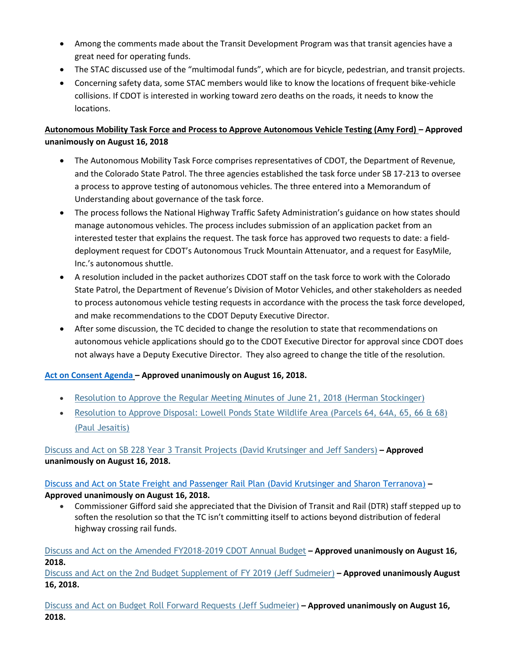- Among the comments made about the Transit Development Program was that transit agencies have a great need for operating funds.
- The STAC discussed use of the "multimodal funds", which are for bicycle, pedestrian, and transit projects.
- Concerning safety data, some STAC members would like to know the locations of frequent bike-vehicle collisions. If CDOT is interested in working toward zero deaths on the roads, it needs to know the locations.

## **Autonomous Mobility Task Force and Process to Approve Autonomous Vehicle Testing (Amy Ford) – Approved unanimously on August 16, 2018**

- The Autonomous Mobility Task Force comprises representatives of CDOT, the Department of Revenue, and the Colorado State Patrol. The three agencies established the task force under SB 17-213 to oversee a process to approve testing of autonomous vehicles. The three entered into a Memorandum of Understanding about governance of the task force.
- The process follows the National Highway Traffic Safety Administration's guidance on how states should manage autonomous vehicles. The process includes submission of an application packet from an interested tester that explains the request. The task force has approved two requests to date: a fielddeployment request for CDOT's Autonomous Truck Mountain Attenuator, and a request for EasyMile, Inc.'s autonomous shuttle.
- A resolution included in the packet authorizes CDOT staff on the task force to work with the Colorado State Patrol, the Department of Revenue's Division of Motor Vehicles, and other stakeholders as needed to process autonomous vehicle testing requests in accordance with the process the task force developed, and make recommendations to the CDOT Deputy Executive Director.
- After some discussion, the TC decided to change the resolution to state that recommendations on autonomous vehicle applications should go to the CDOT Executive Director for approval since CDOT does not always have a Deputy Executive Director. They also agreed to change the title of the resolution.

## **[Act on Consent Agenda](https://www.codot.gov/about/transportation-commission/documents/2018-agendas-and-supporting-documents/june-2018/9-consent-agenda.pdf) – Approved unanimously on August 16, 2018.**

- [Resolution to Approve the Regular Meeting Minutes of June 21, 2018](https://www.codot.gov/about/transportation-commission/documents/2018-agendas-and-supporting-documents/august-2018/8-consent-agenda.pdf) (Herman Stockinger)
- [Resolution to Approve Disposal: Lowell Ponds State Wildlife Area \(Parcels 64, 64A, 65, 66 & 68\)](https://www.codot.gov/about/transportation-commission/documents/2018-agendas-and-supporting-documents/august-2018/8-consent-agenda.pdf)  [\(Paul Jesaitis\)](https://www.codot.gov/about/transportation-commission/documents/2018-agendas-and-supporting-documents/august-2018/8-consent-agenda.pdf)

## [Discuss and Act on SB 228 Year 3 Transit Projects \(David Krutsinger and](https://www.codot.gov/about/transportation-commission/documents/2018-agendas-and-supporting-documents/august-2018/9-sb-228-year-3.pdf) Jeff Sanders) **– Approved unanimously on August 16, 2018.**

## Discuss and Act on [State Freight and Passenger Rail Plan \(David Krutsinger and Sharon Terranova\)](https://www.codot.gov/about/transportation-commission/documents/2018-agendas-and-supporting-documents/august-2018/10-state-freight-and-passenger-rail-plan.pdf) **– Approved unanimously on August 16, 2018.**

 Commissioner Gifford said she appreciated that the Division of Transit and Rail (DTR) staff stepped up to soften the resolution so that the TC isn't committing itself to actions beyond distribution of federal highway crossing rail funds.

[Discuss and Act on the Amended FY2018-2019 CDOT Annual Budget](https://www.codot.gov/about/transportation-commission/documents/2018-agendas-and-supporting-documents/august-2018/3-budget-workshop.pdf) **– Approved unanimously on August 16, 2018.**

[Discuss and Act on the 2nd Budget Supplement of FY 2019 \(Jeff Sudmeier\)](https://www.codot.gov/about/transportation-commission/documents/2018-agendas-and-supporting-documents/august-2018/11-budget-supplement.pdf) **– Approved unanimously August 16, 2018.** 

[Discuss and Act on Budget Roll Forward Requests \(Jeff Sudmeier\)](https://www.codot.gov/about/transportation-commission/documents/2018-agendas-and-supporting-documents/august-2018/3-budget-workshop.pdf) **– Approved unanimously on August 16, 2018.**